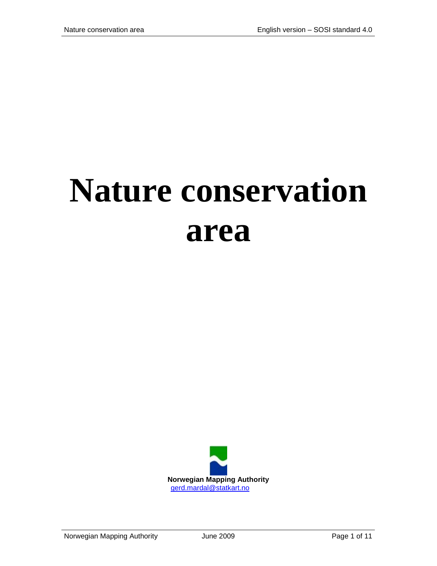# **Nature conservation area**

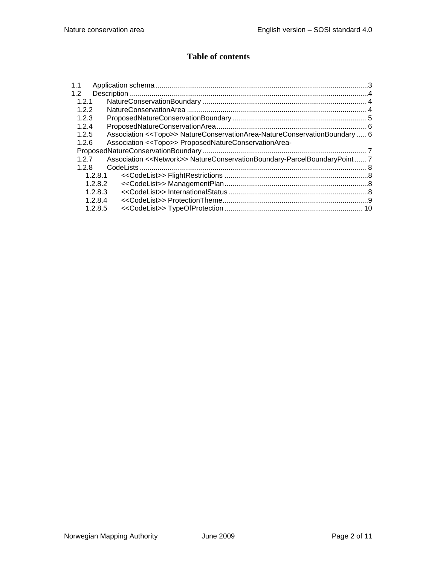## **Table of contents**

| 1.1   |                                                                                       |  |
|-------|---------------------------------------------------------------------------------------|--|
| 1.2   |                                                                                       |  |
| 1.2.1 |                                                                                       |  |
| 1.2.2 |                                                                                       |  |
| 1.2.3 |                                                                                       |  |
| 1.2.4 |                                                                                       |  |
| 1.2.5 | Association < <topo>&gt; NatureConservationArea-NatureConservationBoundary  6</topo>  |  |
| 1.2.6 | Association << Topo>> ProposedNatureConservationArea-                                 |  |
|       |                                                                                       |  |
| 127   | Association < <network>&gt; NatureConservationBoundary-ParcelBoundaryPoint7</network> |  |
| 1.2.8 |                                                                                       |  |
|       | 1.2.8.1                                                                               |  |
|       | 1.2.8.2                                                                               |  |
|       | 1.2.8.3                                                                               |  |
|       | 1.2.8.4                                                                               |  |
|       | 1.2.8.5                                                                               |  |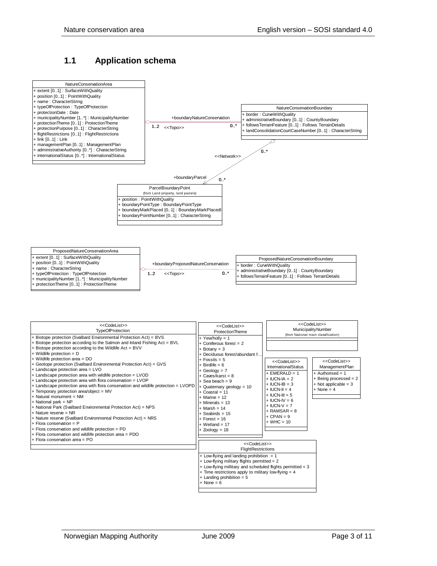#### <span id="page-2-0"></span>**1.1 Application schema**



| < <codelist>&gt;<br/><b>TypeOfProtection</b><br/>+ Biotope protection (Svalbard Environmental Protection Act) = BVS<br/>+ Biotope protection according to the Salmon and Inland Fishing Act = BVL<br/>+ Biotope protection according to the Wildlife Act = BVV<br/><math>+</math> Wildlife protection = D<br/>+ Wildlife protection area = DO<br/>+ Geotope protection (Svalbard Environmental Protection Act) = GVS<br/>+ Landscape protection area = LVO<br/>+ Landscape protection area with wildlife protection = LVOD<br/>+ Landscape protection area with flora conservation = LVOP<br/>+ Landscape protection area with flora conservation and wildlife protection = LVOPD<br/>+ Temporary protection area/object = MV<br/><math>+</math> Natural monument = NM</codelist> | < <codelist>&gt;<br/><b>ProtectionTheme</b><br/><math>+</math> Yew/holly = 1<br/><math>+</math> Coniferous forest = 2<br/><math>+</math> Botany = 3<br/>+ Deciduous forest/abundant h<br/><math>+</math> Fossils = 5<br/><math>+</math> Birdlife = 6<br/><math>+</math> Geology = <math>7</math><br/><math>+</math> Caves/karst = 8<br/><math>+</math> Sea beach = 9<br/>+ Quaternary geology = 10<br/><math>+</math> Coastal = 11<br/><math>+</math> Marine = 12<br/><math>+</math> Minerals = 13<br/><math>+</math> Marsh = 14<br/><math>+</math> Seabirds = 15</codelist> | < <codelist>&gt;<br/>MunicipalityNumber<br/>(from National main classification)<br/>&lt;<codelist>&gt;<br/><b>InternationalStatus</b><br/><math>+</math> EMERALD = 1<br/><math>+</math> IUCN-IA = 2<br/><math>+</math> IUCN-IB = 3<br/><math>+</math> IUCN-II = 4<br/><math>+</math> IUCN-III = 5<br/><math>+</math> IUCN-IV = 6<br/><math>+ IUCN-V = 7</math><br/><math>+</math> RAMSAR = 8</codelist></codelist> | < <codelist>&gt;<br/>ManagementPlan<br/><math>+</math> Authorised = 1<br/>+ Being processed = 2<br/><math>+</math> Not applicable = 3<br/><math>+</math> None = 4</codelist> |
|-----------------------------------------------------------------------------------------------------------------------------------------------------------------------------------------------------------------------------------------------------------------------------------------------------------------------------------------------------------------------------------------------------------------------------------------------------------------------------------------------------------------------------------------------------------------------------------------------------------------------------------------------------------------------------------------------------------------------------------------------------------------------------------|------------------------------------------------------------------------------------------------------------------------------------------------------------------------------------------------------------------------------------------------------------------------------------------------------------------------------------------------------------------------------------------------------------------------------------------------------------------------------------------------------------------------------------------------------------------------------|--------------------------------------------------------------------------------------------------------------------------------------------------------------------------------------------------------------------------------------------------------------------------------------------------------------------------------------------------------------------------------------------------------------------|------------------------------------------------------------------------------------------------------------------------------------------------------------------------------|
| $+$ National park = NP<br>+ National Park (Svalbard Environmental Protection Act) = NPS<br>$+$ Nature reserve = NR<br>+ Nature reserve (Svalbard Environmental Protection Act) = NRS<br>$+$ Flora conservation = P<br>+ Flora conservation and wildlife protection = PD<br>+ Flora conservation and wildlife protection area = PDO<br>$+$ Flora conservation area = PO                                                                                                                                                                                                                                                                                                                                                                                                            | $+$ Forest = 16<br>$+$ Wetland = 17<br>$+$ Zoology = 18<br>< <codelist>&gt;<br/>FlightRestrictions<br/>+ Low-flying and landing prohibition <math>= 1</math><br/>+ Low-flying military flights permitted = 2<br/>+ Low-flying millitary and scheduled flights permitted = 3<br/><math>+</math> Time restrictions apply to military low-flying = 4</codelist>                                                                                                                                                                                                                 | $+$ CPAN = 9<br>$+$ WHC = 10                                                                                                                                                                                                                                                                                                                                                                                       |                                                                                                                                                                              |

- $+$  Landing prohibition = 5
- $None = 6$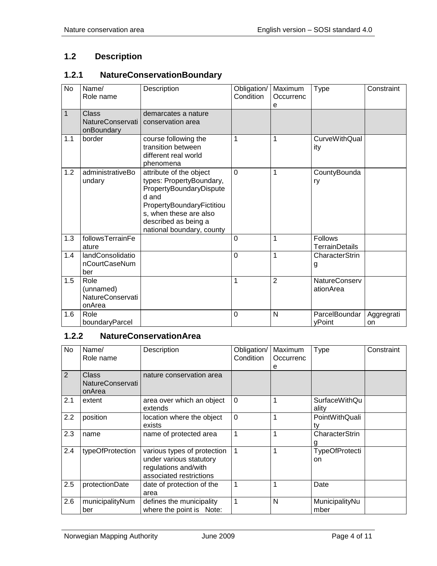## <span id="page-3-0"></span>**1.2 Description**

#### <span id="page-3-1"></span>**1.2.1 NatureConservationBoundary**

| <b>No</b> | Name/<br>Role name                                     | Description                                                                                                                                                                                         | Obligation/<br>Condition | Maximum<br>Occurrenc<br>e | <b>Type</b>                       | Constraint       |
|-----------|--------------------------------------------------------|-----------------------------------------------------------------------------------------------------------------------------------------------------------------------------------------------------|--------------------------|---------------------------|-----------------------------------|------------------|
| 1         | Class<br><b>NatureConservati</b><br>onBoundary         | demarcates a nature<br>conservation area                                                                                                                                                            |                          |                           |                                   |                  |
| 1.1       | border                                                 | course following the<br>transition between<br>different real world<br>phenomena                                                                                                                     | 1                        | 1                         | <b>CurveWithQual</b><br>ity       |                  |
| 1.2       | administrativeBo<br>undary                             | attribute of the object<br>types: PropertyBoundary,<br>PropertyBoundaryDispute<br>d and<br>PropertyBoundaryFictitiou<br>s, when these are also<br>described as being a<br>national boundary, county | $\Omega$                 | 1                         | CountyBounda<br>ry                |                  |
| 1.3       | followsTerrainFe<br>ature                              |                                                                                                                                                                                                     | $\mathbf 0$              | 1                         | <b>Follows</b><br>TerrainDetails  |                  |
| 1.4       | landConsolidatio<br>nCourtCaseNum<br>ber               |                                                                                                                                                                                                     | $\Omega$                 | 1                         | CharacterStrin<br>g               |                  |
| 1.5       | Role<br>(unnamed)<br><b>NatureConservati</b><br>onArea |                                                                                                                                                                                                     | 1                        | $\overline{2}$            | <b>NatureConserv</b><br>ationArea |                  |
| 1.6       | Role<br>boundaryParcel                                 |                                                                                                                                                                                                     | $\Omega$                 | N                         | ParcelBoundar<br>yPoint           | Aggregrati<br>on |

## <span id="page-3-2"></span>**1.2.2 NatureConservationArea**

| No             | Name/<br>Role name                                | Description                                                                                               | Obligation/<br>Condition | Maximum<br>Occurrenc<br>е | Type                          | Constraint |
|----------------|---------------------------------------------------|-----------------------------------------------------------------------------------------------------------|--------------------------|---------------------------|-------------------------------|------------|
| $\overline{2}$ | <b>Class</b><br><b>NatureConservati</b><br>onArea | nature conservation area                                                                                  |                          |                           |                               |            |
| 2.1            | extent                                            | area over which an object<br>extends                                                                      | $\Omega$                 |                           | <b>SurfaceWithQu</b><br>ality |            |
| 2.2            | position                                          | location where the object<br>exists                                                                       | $\mathbf 0$              |                           | PointWithQuali<br>tv          |            |
| 2.3            | name                                              | name of protected area                                                                                    | 1                        | 1                         | CharacterStrin                |            |
| 2.4            | typeOfProtection                                  | various types of protection<br>under various statutory<br>regulations and/with<br>associated restrictions |                          |                           | TypeOfProtecti<br>on          |            |
| 2.5            | protectionDate                                    | date of protection of the<br>area                                                                         | 1                        |                           | Date                          |            |
| 2.6            | municipalityNum<br>ber                            | defines the municipality<br>where the point is Note:                                                      |                          | N                         | MunicipalityNu<br>mber        |            |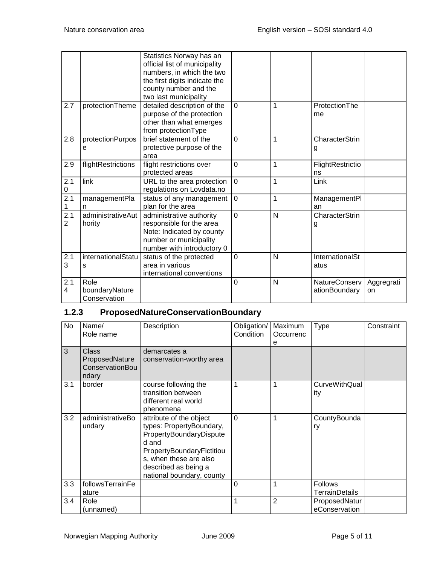|                       |                                        | Statistics Norway has an<br>official list of municipality<br>numbers, in which the two<br>the first digits indicate the<br>county number and the<br>two last municipality |             |   |                                       |                  |
|-----------------------|----------------------------------------|---------------------------------------------------------------------------------------------------------------------------------------------------------------------------|-------------|---|---------------------------------------|------------------|
| 2.7                   | protectionTheme                        | detailed description of the<br>purpose of the protection<br>other than what emerges<br>from protectionType                                                                | $\mathbf 0$ | 1 | ProtectionThe<br>me                   |                  |
| 2.8                   | protectionPurpos<br>е                  | brief statement of the<br>protective purpose of the<br>area                                                                                                               | $\Omega$    | 1 | CharacterStrin<br>g                   |                  |
| 2.9                   | flightRestrictions                     | flight restrictions over<br>protected areas                                                                                                                               | $\mathbf 0$ | 1 | FlightRestrictio<br>ns                |                  |
| 2.1<br>0              | link                                   | URL to the area protection<br>regulations on Lovdata.no                                                                                                                   | $\mathbf 0$ | 1 | Link                                  |                  |
| 2.1<br>1              | managementPla<br>n                     | status of any management<br>plan for the area                                                                                                                             | $\mathbf 0$ | 1 | ManagementPl<br>an                    |                  |
| 2.1<br>$\overline{2}$ | administrativeAut<br>hority            | administrative authority<br>responsible for the area<br>Note: Indicated by county<br>number or municipality<br>number with introductory 0                                 | $\Omega$    | N | <b>CharacterStrin</b><br>g            |                  |
| 2.1<br>3              | internationalStatu<br>s                | status of the protected<br>area in various<br>international conventions                                                                                                   | $\Omega$    | N | InternationalSt<br>atus               |                  |
| 2.1<br>4              | Role<br>boundaryNature<br>Conservation |                                                                                                                                                                           | $\Omega$    | N | <b>NatureConserv</b><br>ationBoundary | Aggregrati<br>on |

## <span id="page-4-0"></span>**1.2.3 ProposedNatureConservationBoundary**

| <b>No</b> | Name/<br>Role name                                  | Description                                                                                                                                                                                         | Obligation/<br>Condition | Maximum<br>Occurrenc<br>е | <b>Type</b>                             | Constraint |
|-----------|-----------------------------------------------------|-----------------------------------------------------------------------------------------------------------------------------------------------------------------------------------------------------|--------------------------|---------------------------|-----------------------------------------|------------|
| 3         | Class<br>ProposedNature<br>ConservationBou<br>ndary | demarcates a<br>conservation-worthy area                                                                                                                                                            |                          |                           |                                         |            |
| 3.1       | border                                              | course following the<br>transition between<br>different real world<br>phenomena                                                                                                                     |                          |                           | <b>CurveWithQual</b><br>ity             |            |
| 3.2       | administrativeBo<br>undary                          | attribute of the object<br>types: PropertyBoundary,<br>PropertyBoundaryDispute<br>d and<br>PropertyBoundaryFictitiou<br>s, when these are also<br>described as being a<br>national boundary, county | $\mathbf 0$              |                           | CountyBounda<br>ry                      |            |
| 3.3       | followsTerrainFe<br>ature                           |                                                                                                                                                                                                     | 0                        |                           | <b>Follows</b><br><b>TerrainDetails</b> |            |
| 3.4       | Role<br>(unnamed)                                   |                                                                                                                                                                                                     |                          | 2                         | ProposedNatur<br>eConservation          |            |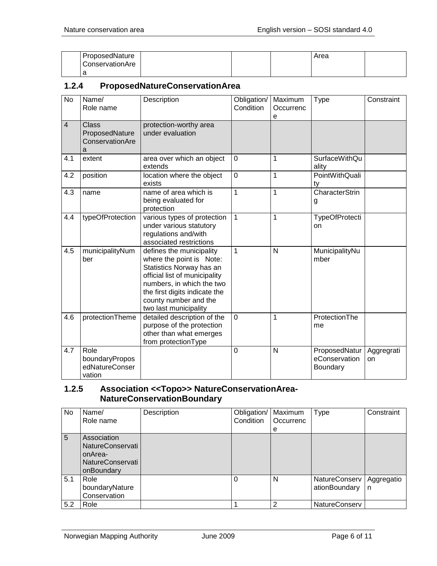| ProposedNature  |  | Area |  |
|-----------------|--|------|--|
| ConservationAre |  |      |  |
| ∽<br>a          |  |      |  |

#### <span id="page-5-0"></span>**1.2.4 ProposedNatureConservationArea**

| $\overline{N}$          | Name/<br>Role name                                     | Description                                                                                                                                                                                                                       | Obligation/<br>Condition | Maximum<br>Occurrenc<br>е | <b>Type</b>                                | Constraint       |
|-------------------------|--------------------------------------------------------|-----------------------------------------------------------------------------------------------------------------------------------------------------------------------------------------------------------------------------------|--------------------------|---------------------------|--------------------------------------------|------------------|
| $\overline{\mathbf{4}}$ | <b>Class</b><br>ProposedNature<br>ConservationAre<br>a | protection-worthy area<br>under evaluation                                                                                                                                                                                        |                          |                           |                                            |                  |
| 4.1                     | extent                                                 | area over which an object<br>extends                                                                                                                                                                                              | $\mathbf 0$              | 1                         | <b>SurfaceWithQu</b><br>ality              |                  |
| 4.2                     | position                                               | location where the object<br>exists                                                                                                                                                                                               | $\overline{0}$           | 1                         | PointWithQuali<br>ty                       |                  |
| 4.3                     | name                                                   | name of area which is<br>being evaluated for<br>protection                                                                                                                                                                        | 1                        | 1                         | CharacterStrin<br>g                        |                  |
| 4.4                     | typeOfProtection                                       | various types of protection<br>under various statutory<br>regulations and/with<br>associated restrictions                                                                                                                         | 1                        | 1                         | <b>TypeOfProtecti</b><br>on                |                  |
| 4.5                     | municipalityNum<br>ber                                 | defines the municipality<br>where the point is Note:<br>Statistics Norway has an<br>official list of municipality<br>numbers, in which the two<br>the first digits indicate the<br>county number and the<br>two last municipality | 1                        | N                         | MunicipalityNu<br>mber                     |                  |
| 4.6                     | protectionTheme                                        | detailed description of the<br>purpose of the protection<br>other than what emerges<br>from protectionType                                                                                                                        | $\overline{0}$           | 1                         | ProtectionThe<br>me                        |                  |
| 4.7                     | Role<br>boundaryPropos<br>edNatureConser<br>vation     |                                                                                                                                                                                                                                   | 0                        | N                         | ProposedNatur<br>eConservation<br>Boundary | Aggregrati<br>on |

## <span id="page-5-1"></span>**1.2.5 Association <<Topo>> NatureConservationArea-NatureConservationBoundary**

| No  | Name/<br>Role name                                                           | Description | Obligation/<br>Condition | Maximum<br>Occurrenc<br>е | <b>Type</b>                    | Constraint      |
|-----|------------------------------------------------------------------------------|-------------|--------------------------|---------------------------|--------------------------------|-----------------|
| 5   | Association<br>NatureConservati<br>onArea-<br>NatureConservati<br>onBoundary |             |                          |                           |                                |                 |
| 5.1 | Role<br>boundaryNature<br>Conservation                                       |             |                          | N                         | NatureConserv<br>ationBoundary | Aggregatio<br>n |
| 5.2 | Role                                                                         |             |                          | っ                         | <b>NatureConserv</b>           |                 |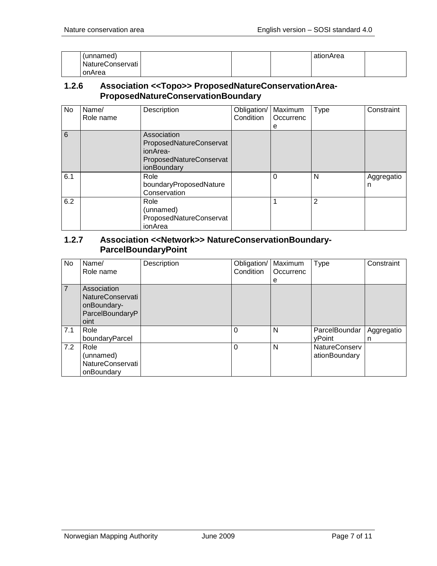| (unnamed)        |  | ationArea |  |
|------------------|--|-----------|--|
| NatureConservati |  |           |  |
| onArea           |  |           |  |

#### <span id="page-6-0"></span>**1.2.6 Association <<Topo>> ProposedNatureConservationArea-ProposedNatureConservationBoundary**

| No  | Name/<br>Role name | Description                                                                                  | Obligation/<br>Condition | Maximum<br>Occurrenc<br>е | Type           | Constraint      |
|-----|--------------------|----------------------------------------------------------------------------------------------|--------------------------|---------------------------|----------------|-----------------|
| 6   |                    | Association<br>ProposedNatureConservat<br>ionArea-<br>ProposedNatureConservat<br>ionBoundary |                          |                           |                |                 |
| 6.1 |                    | Role<br>boundaryProposedNature<br>Conservation                                               |                          | 0                         | N              | Aggregatio<br>n |
| 6.2 |                    | Role<br>(unnamed)<br>ProposedNatureConservat<br>ionArea                                      |                          |                           | $\overline{2}$ |                 |

#### <span id="page-6-1"></span>**1.2.7 Association <<Network>> NatureConservationBoundary-ParcelBoundaryPoint**

| No  | Name/<br>Role name                                                               | Description | Obligation/<br>Condition | Maximum<br>Occurrenc<br>e | Type                                  | Constraint      |
|-----|----------------------------------------------------------------------------------|-------------|--------------------------|---------------------------|---------------------------------------|-----------------|
| 7   | Association<br><b>NatureConservati</b><br>onBoundary-<br>ParcelBoundaryP<br>oint |             |                          |                           |                                       |                 |
| 7.1 | Role<br>boundaryParcel                                                           |             | $\Omega$                 | N                         | ParcelBoundar<br>vPoint               | Aggregatio<br>n |
| 7.2 | Role<br>(unnamed)<br>NatureConservati<br>onBoundary                              |             | $\Omega$                 | N                         | <b>NatureConserv</b><br>ationBoundary |                 |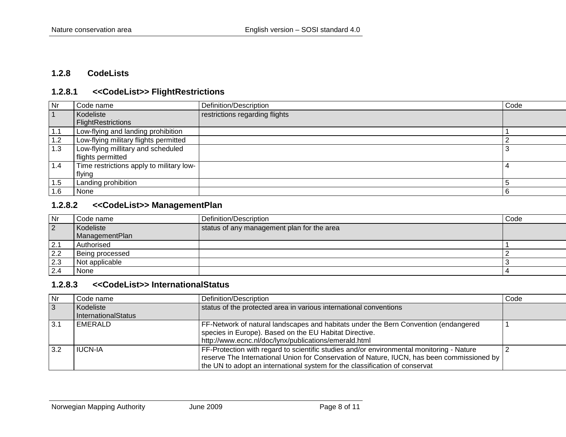#### **1.2.8 CodeLists**

## **1.2.8.1 <<CodeList>> FlightRestrictions**

| Nr             | Code name                                | Definition/Description         | Code |
|----------------|------------------------------------------|--------------------------------|------|
| $\overline{1}$ | Kodeliste                                | restrictions regarding flights |      |
|                | FlightRestrictions                       |                                |      |
| 1.1            | Low-flying and landing prohibition       |                                |      |
| 1.2            | Low-flying military flights permitted    |                                |      |
| 1.3            | Low-flying millitary and scheduled       |                                |      |
|                | flights permitted                        |                                |      |
| 1.4            | Time restrictions apply to military low- |                                |      |
|                | flying                                   |                                |      |
| 1.5            | Landing prohibition                      |                                |      |
| 1.6            | None                                     |                                | -6   |

#### <span id="page-7-0"></span>**1.2.8.2 <<CodeList>> ManagementPlan**

<span id="page-7-1"></span>

| Nr        | Code name       | Definition/Description                     | Code |
|-----------|-----------------|--------------------------------------------|------|
| $\vert$ 2 | Kodeliste       | status of any management plan for the area |      |
|           | ManagementPlan  |                                            |      |
| 2.1       | Authorised      |                                            |      |
| 2.2       | Being processed |                                            |      |
| 2.3       | Not applicable  |                                            |      |
| 2.4       | None            |                                            |      |

## **1.2.8.3 <<CodeList>> InternationalStatus**

<span id="page-7-3"></span><span id="page-7-2"></span>

| Nr             | Code name           | Definition/Description                                                                     | Code |
|----------------|---------------------|--------------------------------------------------------------------------------------------|------|
| $\overline{3}$ | Kodeliste           | status of the protected area in various international conventions                          |      |
|                | InternationalStatus |                                                                                            |      |
| 3.1            | EMERALD             | FF-Network of natural landscapes and habitats under the Bern Convention (endangered        |      |
|                |                     | species in Europe). Based on the EU Habitat Directive.                                     |      |
|                |                     | http://www.ecnc.nl/doc/lynx/publications/emerald.html                                      |      |
| 3.2            | <b>IUCN-IA</b>      | FF-Protection with regard to scientific studies and/or environmental monitoring - Nature   |      |
|                |                     | reserve The International Union for Conservation of Nature, IUCN, has been commissioned by |      |
|                |                     | the UN to adopt an international system for the classification of conservat                |      |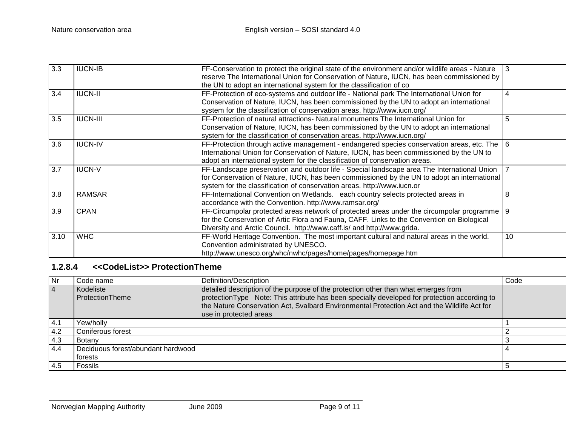| 3.3  | <b>IUCN-IB</b>  | FF-Conservation to protect the original state of the environment and/or wildlife areas - Nature |                  |
|------|-----------------|-------------------------------------------------------------------------------------------------|------------------|
|      |                 | reserve The International Union for Conservation of Nature, IUCN, has been commissioned by      |                  |
|      |                 | the UN to adopt an international system for the classification of co                            |                  |
| 3.4  | <b>IUCN-II</b>  | FF-Protection of eco-systems and outdoor life - National park The International Union for       |                  |
|      |                 | Conservation of Nature, IUCN, has been commissioned by the UN to adopt an international         |                  |
|      |                 | system for the classification of conservation areas. http://www.iucn.org/                       |                  |
| 3.5  | <b>IUCN-III</b> | FF-Protection of natural attractions- Natural monuments The International Union for             |                  |
|      |                 | Conservation of Nature, IUCN, has been commissioned by the UN to adopt an international         |                  |
|      |                 | system for the classification of conservation areas. http://www.iucn.org/                       |                  |
| 3.6  | <b>IUCN-IV</b>  | FF-Protection through active management - endangered species conservation areas, etc. The       | $6 \overline{6}$ |
|      |                 | International Union for Conservation of Nature, IUCN, has been commissioned by the UN to        |                  |
|      |                 | adopt an international system for the classification of conservation areas.                     |                  |
| 3.7  | <b>IUCN-V</b>   | FF-Landscape preservation and outdoor life - Special landscape area The International Union     |                  |
|      |                 | for Conservation of Nature, IUCN, has been commissioned by the UN to adopt an international     |                  |
|      |                 | system for the classification of conservation areas. http://www.iucn.or                         |                  |
| 3.8  | <b>RAMSAR</b>   | FF-International Convention on Wetlands. each country selects protected areas in                | 8                |
|      |                 | accordance with the Convention. http://www.ramsar.org/                                          |                  |
| 3.9  | <b>CPAN</b>     | FF-Circumpolar protected areas network of protected areas under the circumpolar programme       | <b>9</b>         |
|      |                 | for the Conservation of Artic Flora and Fauna, CAFF. Links to the Convention on Biological      |                  |
|      |                 | Diversity and Arctic Council. http://www.caff.is/ and http://www.grida.                         |                  |
| 3.10 | <b>WHC</b>      | FF-World Heritage Convention. The most important cultural and natural areas in the world.       | 10 <sup>1</sup>  |
|      |                 | Convention administrated by UNESCO.                                                             |                  |
|      |                 | http://www.unesco.org/whc/nwhc/pages/home/pages/homepage.htm                                    |                  |

## **1.2.8.4 <<CodeList>> ProtectionTheme**

<span id="page-8-0"></span>

| Nr             | Code name                                     | Definition/Description                                                                                                                                                                                                                                                                                       | Code |
|----------------|-----------------------------------------------|--------------------------------------------------------------------------------------------------------------------------------------------------------------------------------------------------------------------------------------------------------------------------------------------------------------|------|
| $\overline{4}$ | Kodeliste<br>ProtectionTheme                  | detailed description of the purpose of the protection other than what emerges from<br>protection Type Note: This attribute has been specially developed for protection according to<br>the Nature Conservation Act, Svalbard Environmental Protection Act and the Wildlife Act for<br>use in protected areas |      |
| 4.1            | /ew/hollv                                     |                                                                                                                                                                                                                                                                                                              |      |
| 4.2            | Coniferous forest                             |                                                                                                                                                                                                                                                                                                              |      |
| 4.3            | Botany                                        |                                                                                                                                                                                                                                                                                                              |      |
| 4.4            | Deciduous forest/abundant hardwood<br>forests |                                                                                                                                                                                                                                                                                                              |      |
| 4.5            | <b>Fossils</b>                                |                                                                                                                                                                                                                                                                                                              |      |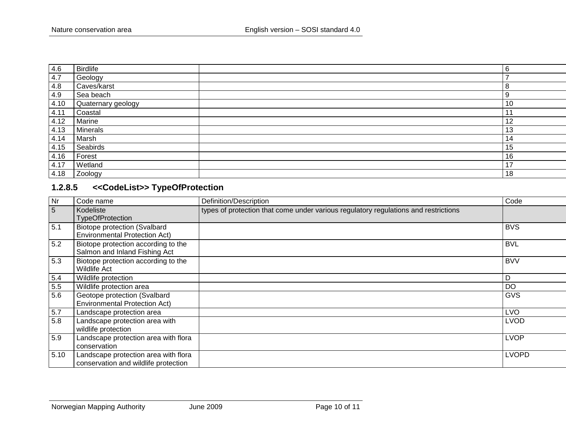| 4.6  | <b>Birdlife</b>    | 6                        |
|------|--------------------|--------------------------|
| 4.7  | Geology            | $\overline{\phantom{a}}$ |
| 4.8  | Caves/karst        | 8                        |
| 4.9  | Sea beach          | 9                        |
| 4.10 | Quaternary geology | 10                       |
| 4.11 | Coastal            | $\ddot{\phantom{1}}$     |
| 4.12 | Marine             | 12                       |
| 4.13 | <b>Minerals</b>    | 13                       |
| 4.14 | Marsh              | 14                       |
| 4.15 | Seabirds           | 15                       |
| 4.16 | Forest             | 16                       |
| 4.17 | Wetland            | 17                       |
| 4.18 | Zoology            | 18                       |

## **1.2.8.5 <<CodeList>> TypeOfProtection**

<span id="page-9-0"></span>

| Nr   | Code name                                                                    | Definition/Description                                                              | Code         |
|------|------------------------------------------------------------------------------|-------------------------------------------------------------------------------------|--------------|
| 5    | Kodeliste<br><b>TypeOfProtection</b>                                         | types of protection that come under various regulatory regulations and restrictions |              |
| 5.1  | <b>Biotope protection (Svalbard</b><br><b>Environmental Protection Act)</b>  |                                                                                     | <b>BVS</b>   |
| 5.2  | Biotope protection according to the<br>Salmon and Inland Fishing Act         |                                                                                     | <b>BVL</b>   |
| 5.3  | Biotope protection according to the<br><b>Wildlife Act</b>                   |                                                                                     | <b>BVV</b>   |
| 5.4  | Wildlife protection                                                          |                                                                                     | D            |
| 5.5  | Wildlife protection area                                                     |                                                                                     | <b>DO</b>    |
| 5.6  | Geotope protection (Svalbard<br><b>Environmental Protection Act)</b>         |                                                                                     | GVS          |
| 5.7  | Landscape protection area                                                    |                                                                                     | <b>LVO</b>   |
| 5.8  | Landscape protection area with<br>wildlife protection                        |                                                                                     | <b>LVOD</b>  |
| 5.9  | Landscape protection area with flora<br>conservation                         |                                                                                     | <b>LVOP</b>  |
| 5.10 | Landscape protection area with flora<br>conservation and wildlife protection |                                                                                     | <b>LVOPD</b> |